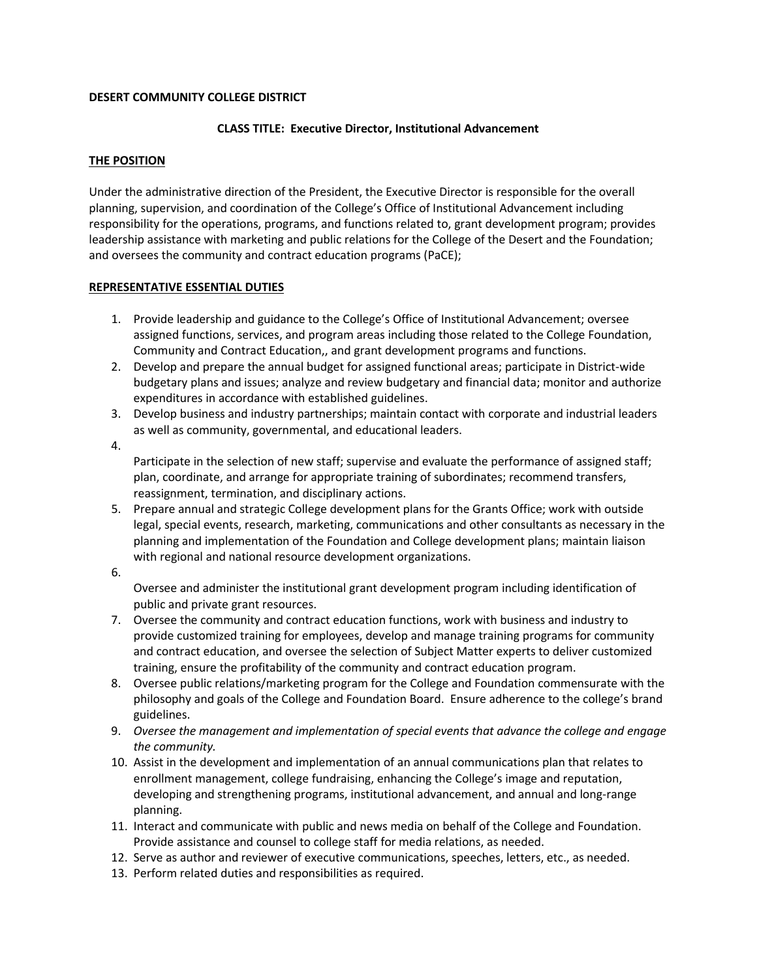# **DESERT COMMUNITY COLLEGE DISTRICT**

# **CLASS TITLE: Executive Director, Institutional Advancement**

# **THE POSITION**

Under the administrative direction of the President, the Executive Director is responsible for the overall planning, supervision, and coordination of the College's Office of Institutional Advancement including responsibility for the operations, programs, and functions related to, grant development program; provides leadership assistance with marketing and public relations for the College of the Desert and the Foundation; and oversees the community and contract education programs (PaCE);

# **REPRESENTATIVE ESSENTIAL DUTIES**

- 1. Provide leadership and guidance to the College's Office of Institutional Advancement; oversee assigned functions, services, and program areas including those related to the College Foundation, Community and Contract Education,, and grant development programs and functions.
- 2. Develop and prepare the annual budget for assigned functional areas; participate in District-wide budgetary plans and issues; analyze and review budgetary and financial data; monitor and authorize expenditures in accordance with established guidelines.
- 3. Develop business and industry partnerships; maintain contact with corporate and industrial leaders as well as community, governmental, and educational leaders.
- 4.

Participate in the selection of new staff; supervise and evaluate the performance of assigned staff; plan, coordinate, and arrange for appropriate training of subordinates; recommend transfers, reassignment, termination, and disciplinary actions.

- 5. Prepare annual and strategic College development plans for the Grants Office; work with outside legal, special events, research, marketing, communications and other consultants as necessary in the planning and implementation of the Foundation and College development plans; maintain liaison with regional and national resource development organizations.
- 6.

Oversee and administer the institutional grant development program including identification of public and private grant resources.

- 7. Oversee the community and contract education functions, work with business and industry to provide customized training for employees, develop and manage training programs for community and contract education, and oversee the selection of Subject Matter experts to deliver customized training, ensure the profitability of the community and contract education program.
- 8. Oversee public relations/marketing program for the College and Foundation commensurate with the philosophy and goals of the College and Foundation Board. Ensure adherence to the college's brand guidelines.
- 9. *Oversee the management and implementation of special events that advance the college and engage the community.*
- 10. Assist in the development and implementation of an annual communications plan that relates to enrollment management, college fundraising, enhancing the College's image and reputation, developing and strengthening programs, institutional advancement, and annual and long-range planning.
- 11. Interact and communicate with public and news media on behalf of the College and Foundation. Provide assistance and counsel to college staff for media relations, as needed.
- 12. Serve as author and reviewer of executive communications, speeches, letters, etc., as needed.
- 13. Perform related duties and responsibilities as required.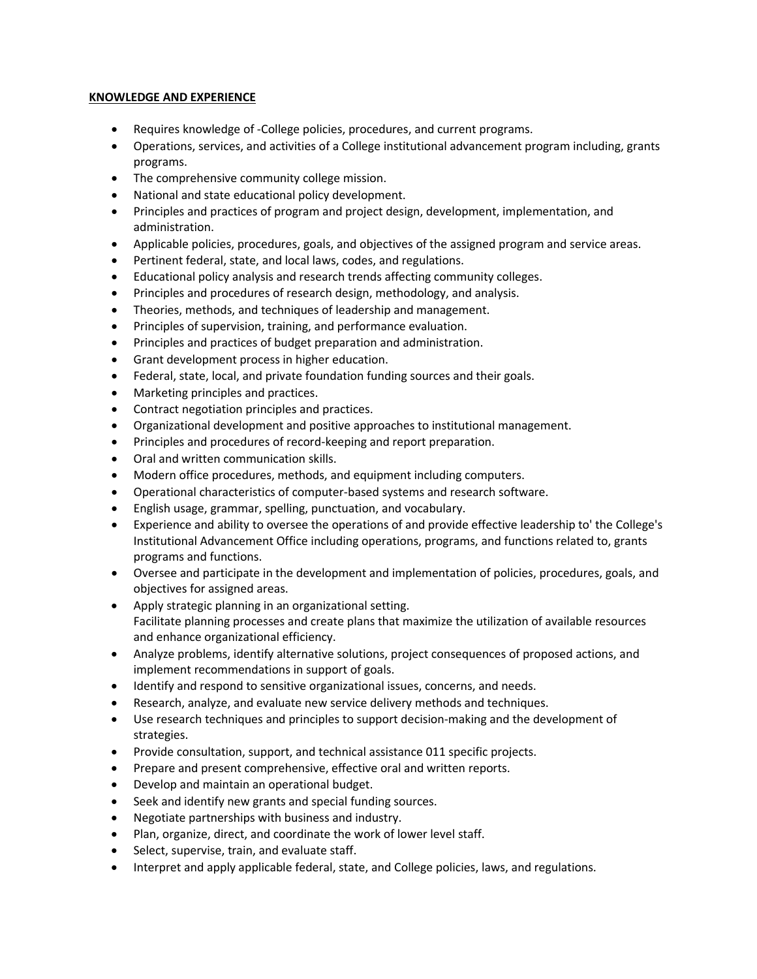# **KNOWLEDGE AND EXPERIENCE**

- Requires knowledge of -College policies, procedures, and current programs.
- Operations, services, and activities of a College institutional advancement program including, grants programs.
- The comprehensive community college mission.
- National and state educational policy development.
- Principles and practices of program and project design, development, implementation, and administration.
- Applicable policies, procedures, goals, and objectives of the assigned program and service areas.
- Pertinent federal, state, and local laws, codes, and regulations.
- Educational policy analysis and research trends affecting community colleges.
- Principles and procedures of research design, methodology, and analysis.
- Theories, methods, and techniques of leadership and management.
- Principles of supervision, training, and performance evaluation.
- Principles and practices of budget preparation and administration.
- Grant development process in higher education.
- Federal, state, local, and private foundation funding sources and their goals.
- Marketing principles and practices.
- Contract negotiation principles and practices.
- Organizational development and positive approaches to institutional management.
- Principles and procedures of record-keeping and report preparation.
- Oral and written communication skills.
- Modern office procedures, methods, and equipment including computers.
- Operational characteristics of computer-based systems and research software.
- English usage, grammar, spelling, punctuation, and vocabulary.
- Experience and ability to oversee the operations of and provide effective leadership to' the College's Institutional Advancement Office including operations, programs, and functions related to, grants programs and functions.
- Oversee and participate in the development and implementation of policies, procedures, goals, and objectives for assigned areas.
- Apply strategic planning in an organizational setting. Facilitate planning processes and create plans that maximize the utilization of available resources and enhance organizational efficiency.
- Analyze problems, identify alternative solutions, project consequences of proposed actions, and implement recommendations in support of goals.
- Identify and respond to sensitive organizational issues, concerns, and needs.
- Research, analyze, and evaluate new service delivery methods and techniques.
- Use research techniques and principles to support decision-making and the development of strategies.
- Provide consultation, support, and technical assistance 011 specific projects.
- Prepare and present comprehensive, effective oral and written reports.
- Develop and maintain an operational budget.
- Seek and identify new grants and special funding sources.
- Negotiate partnerships with business and industry.
- Plan, organize, direct, and coordinate the work of lower level staff.
- Select, supervise, train, and evaluate staff.
- Interpret and apply applicable federal, state, and College policies, laws, and regulations.